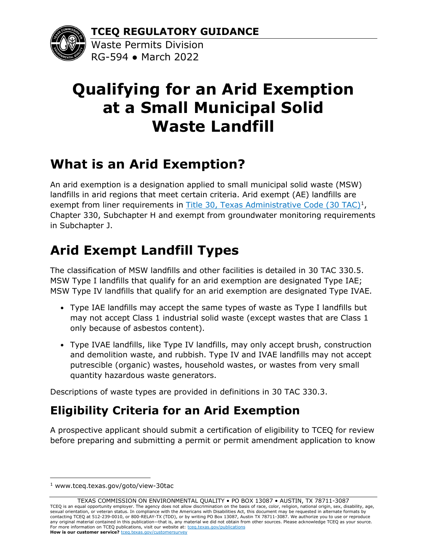**TCEQ REGULATORY GUIDANCE**



Waste Permits Division RG-594 ● March 2022

# **Qualifying for an Arid Exemption at a Small Municipal Solid Waste Landfill**

#### **What is an Arid Exemption?**

An arid exemption is a designation applied to small municipal solid waste (MSW) landfills in arid regions that meet certain criteria. Arid exempt (AE) landfills are exempt from liner requirements in Title [30, Texas Administrative Code \(30 TAC\)](http://www.tceq.texas.gov/goto/view-30tac)<sup>[1](#page-0-0)</sup>, Chapter 330, Subchapter H and exempt from groundwater monitoring requirements in Subchapter J.

### **Arid Exempt Landfill Types**

The classification of MSW landfills and other facilities is detailed in 30 TAC 330.5. MSW Type I landfills that qualify for an arid exemption are designated Type IAE; MSW Type IV landfills that qualify for an arid exemption are designated Type IVAE.

- Type IAE landfills may accept the same types of waste as Type I landfills but may not accept Class 1 industrial solid waste (except wastes that are Class 1 only because of asbestos content).
- Type IVAE landfills, like Type IV landfills, may only accept brush, construction and demolition waste, and rubbish. Type IV and IVAE landfills may not accept putrescible (organic) wastes, household wastes, or wastes from very small quantity hazardous waste generators.

Descriptions of waste types are provided in definitions in 30 TAC 330.3.

#### **Eligibility Criteria for an Arid Exemption**

A prospective applicant should submit a certification of eligibility to TCEQ for review before preparing and submitting a permit or permit amendment application to know

<span id="page-0-0"></span><sup>1</sup> www.tceq.texas.gov/goto/view-30tac

TEXAS COMMISSION ON ENVIRONMENTAL QUALITY • PO BOX 13087 • AUSTIN, TX 78711-3087 TCEQ is an equal opportunity employer. The agency does not allow discrimination on the basis of race, color, religion, national origin, sex, disability, age, sexual orientation, or veteran status. In compliance with the Americans with Disabilities Act, this document may be requested in alternate formats by contacting TCEQ at 512-239-0010, or 800-RELAY-TX (TDD), or by writing PO Box 13087, Austin TX 78711-3087. We authorize you to use or reproduce any original material contained in this publication—that is, any material we did not obtain from other sources. Please acknowledge TCEQ as your source. For more information on TCEQ publications, visit our website at: tceq.texas.gov/publications **How is our customer service? tceg.texas.gov/customersurvey**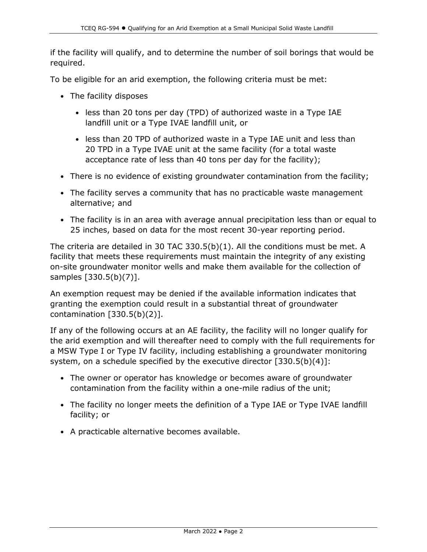if the facility will qualify, and to determine the number of soil borings that would be required.

To be eligible for an arid exemption, the following criteria must be met:

- The facility disposes
	- less than 20 tons per day (TPD) of authorized waste in a Type IAE landfill unit or a Type IVAE landfill unit, or
	- less than 20 TPD of authorized waste in a Type IAE unit and less than 20 TPD in a Type IVAE unit at the same facility (for a total waste acceptance rate of less than 40 tons per day for the facility);
- There is no evidence of existing groundwater contamination from the facility;
- The facility serves a community that has no practicable waste management alternative; and
- The facility is in an area with average annual precipitation less than or equal to 25 inches, based on data for the most recent 30-year reporting period.

The criteria are detailed in 30 TAC 330.5(b)(1). All the conditions must be met. A facility that meets these requirements must maintain the integrity of any existing on-site groundwater monitor wells and make them available for the collection of samples [330.5(b)(7)].

An exemption request may be denied if the available information indicates that granting the exemption could result in a substantial threat of groundwater contamination [330.5(b)(2)].

If any of the following occurs at an AE facility, the facility will no longer qualify for the arid exemption and will thereafter need to comply with the full requirements for a MSW Type I or Type IV facility, including establishing a groundwater monitoring system, on a schedule specified by the executive director [330.5(b)(4)]:

- The owner or operator has knowledge or becomes aware of groundwater contamination from the facility within a one-mile radius of the unit;
- The facility no longer meets the definition of a Type IAE or Type IVAE landfill facility; or
- A practicable alternative becomes available.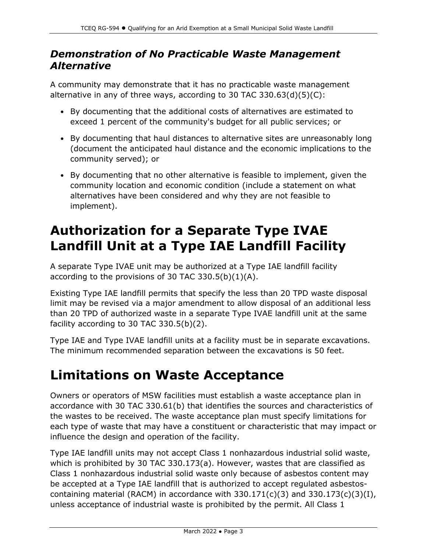#### *Demonstration of No Practicable Waste Management Alternative*

A community may demonstrate that it has no practicable waste management alternative in any of three ways, according to 30 TAC 330.63(d)(5)(C):

- By documenting that the additional costs of alternatives are estimated to exceed 1 percent of the community's budget for all public services; or
- By documenting that haul distances to alternative sites are unreasonably long (document the anticipated haul distance and the economic implications to the community served); or
- By documenting that no other alternative is feasible to implement, given the community location and economic condition (include a statement on what alternatives have been considered and why they are not feasible to implement).

### **Authorization for a Separate Type IVAE Landfill Unit at a Type IAE Landfill Facility**

A separate Type IVAE unit may be authorized at a Type IAE landfill facility according to the provisions of 30 TAC 330.5(b) $(1)(A)$ .

Existing Type IAE landfill permits that specify the less than 20 TPD waste disposal limit may be revised via a major amendment to allow disposal of an additional less than 20 TPD of authorized waste in a separate Type IVAE landfill unit at the same facility according to 30 TAC 330.5(b)(2).

Type IAE and Type IVAE landfill units at a facility must be in separate excavations. The minimum recommended separation between the excavations is 50 feet.

### **Limitations on Waste Acceptance**

Owners or operators of MSW facilities must establish a waste acceptance plan in accordance with 30 TAC 330.61(b) that identifies the sources and characteristics of the wastes to be received. The waste acceptance plan must specify limitations for each type of waste that may have a constituent or characteristic that may impact or influence the design and operation of the facility.

Type IAE landfill units may not accept Class 1 nonhazardous industrial solid waste, which is prohibited by 30 TAC 330.173(a). However, wastes that are classified as Class 1 nonhazardous industrial solid waste only because of asbestos content may be accepted at a Type IAE landfill that is authorized to accept regulated asbestoscontaining material (RACM) in accordance with  $330.171(c)(3)$  and  $330.173(c)(3)(I)$ , unless acceptance of industrial waste is prohibited by the permit. All Class 1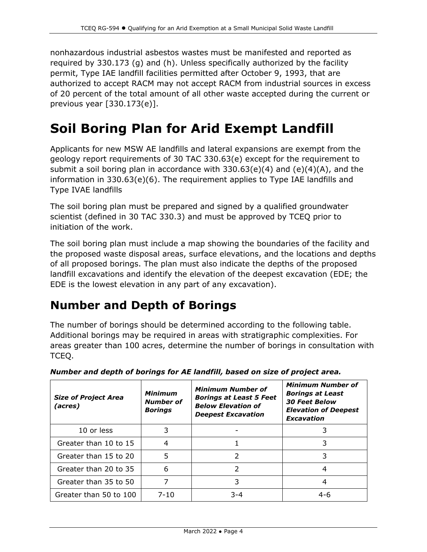nonhazardous industrial asbestos wastes must be manifested and reported as required by 330.173 (g) and (h). Unless specifically authorized by the facility permit, Type IAE landfill facilities permitted after October 9, 1993, that are authorized to accept RACM may not accept RACM from industrial sources in excess of 20 percent of the total amount of all other waste accepted during the current or previous year [330.173(e)].

### **Soil Boring Plan for Arid Exempt Landfill**

Applicants for new MSW AE landfills and lateral expansions are exempt from the geology report requirements of 30 TAC 330.63(e) except for the requirement to submit a soil boring plan in accordance with  $330.63(e)(4)$  and  $(e)(4)(A)$ , and the information in 330.63(e)(6). The requirement applies to Type IAE landfills and Type IVAE landfills

The soil boring plan must be prepared and signed by a qualified groundwater scientist (defined in 30 TAC 330.3) and must be approved by TCEQ prior to initiation of the work.

The soil boring plan must include a map showing the boundaries of the facility and the proposed waste disposal areas, surface elevations, and the locations and depths of all proposed borings. The plan must also indicate the depths of the proposed landfill excavations and identify the elevation of the deepest excavation (EDE; the EDE is the lowest elevation in any part of any excavation).

#### **Number and Depth of Borings**

The number of borings should be determined according to the following table. Additional borings may be required in areas with stratigraphic complexities. For areas greater than 100 acres, determine the number of borings in consultation with TCEQ.

| <b>Size of Project Area</b><br>(acres) | <b>Minimum</b><br><b>Number of</b><br><b>Borings</b> | <b>Minimum Number of</b><br><b>Borings at Least 5 Feet</b><br><b>Below Elevation of</b><br><b>Deepest Excavation</b> | <b>Minimum Number of</b><br><b>Borings at Least</b><br><b>30 Feet Below</b><br><b>Elevation of Deepest</b><br>Excavation |
|----------------------------------------|------------------------------------------------------|----------------------------------------------------------------------------------------------------------------------|--------------------------------------------------------------------------------------------------------------------------|
| 10 or less                             |                                                      |                                                                                                                      |                                                                                                                          |
| Greater than 10 to 15                  | 4                                                    |                                                                                                                      |                                                                                                                          |
| Greater than 15 to 20                  | 5                                                    |                                                                                                                      | 3                                                                                                                        |
| Greater than 20 to 35                  | 6                                                    |                                                                                                                      | 4                                                                                                                        |
| Greater than 35 to 50                  |                                                      | 3                                                                                                                    | 4                                                                                                                        |
| Greater than 50 to 100                 | $7 - 10$                                             | $3 - 4$                                                                                                              | $4 - 6$                                                                                                                  |

*Number and depth of borings for AE landfill, based on size of project area.*